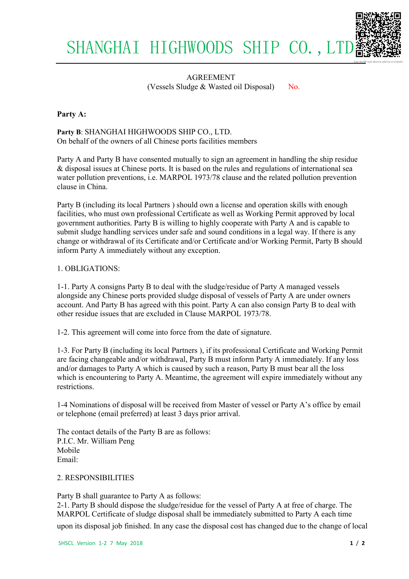# SHANGHAI HIGHWOODS SHIP CO., LTD

AGREEMENT (Vessels Sludge  $&$  Wasted oil Disposal) No.

**Party A:** 

### **Party B**: SHANGHAI HIGHWOODS SHIP CO., LTD. On behalf of the owners of all Chinese ports facilities members

Party A and Party B have consented mutually to sign an agreement in handling the ship residue & disposal issues at Chinese ports. It is based on the rules and regulations of international sea water pollution preventions, i.e. MARPOL 1973/78 clause and the related pollution prevention clause in China.

Party B (including its local Partners ) should own a license and operation skills with enough facilities, who must own professional Certificate as well as Working Permit approved by local government authorities. Party B is willing to highly cooperate with Party A and is capable to submit sludge handling services under safe and sound conditions in a legal way. If there is any change or withdrawal of its Certificate and/or Certificate and/or Working Permit, Party B should inform Party A immediately without any exception.

### 1. OBLIGATIONS:

1-1. Party A consigns Party B to deal with the sludge/residue of Party A managed vessels alongside any Chinese ports provided sludge disposal of vessels of Party A are under owners account. And Party B has agreed with this point. Party A can also consign Party B to deal with other residue issues that are excluded in Clause MARPOL 1973/78.

1-2. This agreement will come into force from the date of signature.

1-3. For Party B (including its local Partners ), if its professional Certificate and Working Permit are facing changeable and/or withdrawal, Party B must inform Party A immediately. If any loss and/or damages to Party A which is caused by such a reason, Party B must bear all the loss which is encountering to Party A. Meantime, the agreement will expire immediately without any restrictions.

1-4 Nominations of disposal will be received from Master of vessel or Party A's office by email or telephone (email preferred) at least 3 days prior arrival.

The contact details of the Party B are as follows: P.I.C. Mr. William Peng Mobile Email:

### 2. RESPONSIBILITIES

Party B shall guarantee to Party A as follows: 2-1. Party B should dispose the sludge/residue for the vessel of Party A at free of charge. The MARPOL Certificate of sludge disposal shall be immediately submitted to Party A each time

upon its disposal job finished. In any case the disposal cost has changed due to the change of local